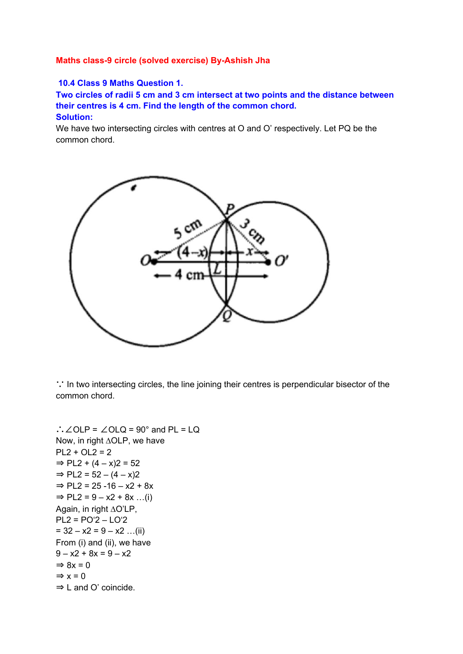## **Maths class-9 circle (solved exercise) By-Ashish Jha**

## **10.4 Class 9 Maths Question 1.**

**Two circles of radii 5 cm and 3 cm intersect at two points and the distance between their centres is 4 cm. Find the length of the common chord. Solution:**

We have two intersecting circles with centres at O and O' respectively. Let PQ be the common chord.



∵ In two intersecting circles, the line joining their centres is perpendicular bisector of the common chord.

```
∴∠OLP = ∠OLQ = 90° and PL = LQ
Now, in right ∆OLP, we have
PL2 + OL2 = 2\Rightarrow PL2 + (4 – x)2 = 52
\Rightarrow PL2 = 52 – (4 – x)2
\Rightarrow PL2 = 25 -16 – x2 + 8x
\Rightarrow PL2 = 9 – x2 + 8x ...(i)
Again, in right ∆O'LP,
PL2 = PO'2 - LO'2= 32 - x2 = 9 - x2 ...(ii)
From (i) and (ii), we have
9 - x2 + 8x = 9 - x2\Rightarrow 8x = 0
\Rightarrow x = 0
⇒ L and O' coincide.
```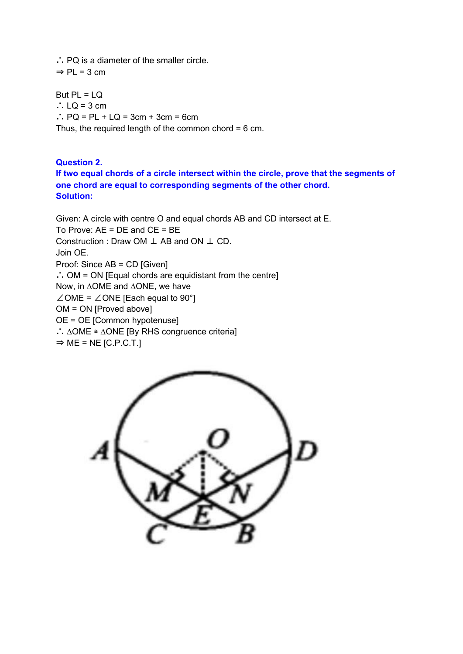∴ PQ is a diameter of the smaller circle.  $\Rightarrow$  PL = 3 cm

But  $PL = LQ$ ∴  $LQ = 3$  cm ∴ PQ = PL + LQ = 3cm + 3cm = 6cm Thus, the required length of the common chord = 6 cm.

**Question 2. If two equal chords of a circle intersect within the circle, prove that the segments of one chord are equal to corresponding segments of the other chord. Solution:**

Given: A circle with centre O and equal chords AB and CD intersect at E. To Prove: AE = DE and CE = BE Construction : Draw OM ⊥ AB and ON ⊥ CD. Join OE. Proof: Since AB = CD [Given] ∴ OM = ON [Equal chords are equidistant from the centre] Now, in ∆OME and ∆ONE, we have ∠OME = ∠ONE [Each equal to 90°] OM = ON [Proved above] OE = OE [Common hypotenuse] ∴ ∆OME ≅ ∆ONE [By RHS congruence criteria]  $\Rightarrow$  ME = NE [C.P.C.T.]

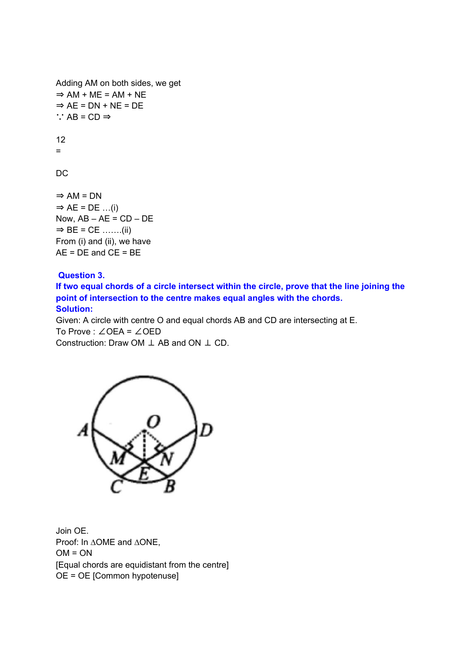```
Adding AM on both sides, we get
\Rightarrow AM + ME = AM + NE
\Rightarrow AE = DN + NE = DE
∵ AB = CD ⇒
12
=DC
\Rightarrow AM = DN
```
 $\Rightarrow$  AE = DE ...(i) Now,  $AB - AE = CD - DE$  $\Rightarrow$  BE = CE …….(ii) From (i) and (ii), we have  $AE = DE$  and  $CE = BE$ 

## **Question 3.**

**If two equal chords of a circle intersect within the circle, prove that the line joining the point of intersection to the centre makes equal angles with the chords. Solution:**

Given: A circle with centre O and equal chords AB and CD are intersecting at E. To Prove : ∠OEA = ∠OED Construction: Draw OM ⊥ AB and ON ⊥ CD.



Join OE. Proof: In ∆OME and ∆ONE,  $OM = ON$ [Equal chords are equidistant from the centre] OE = OE [Common hypotenuse]